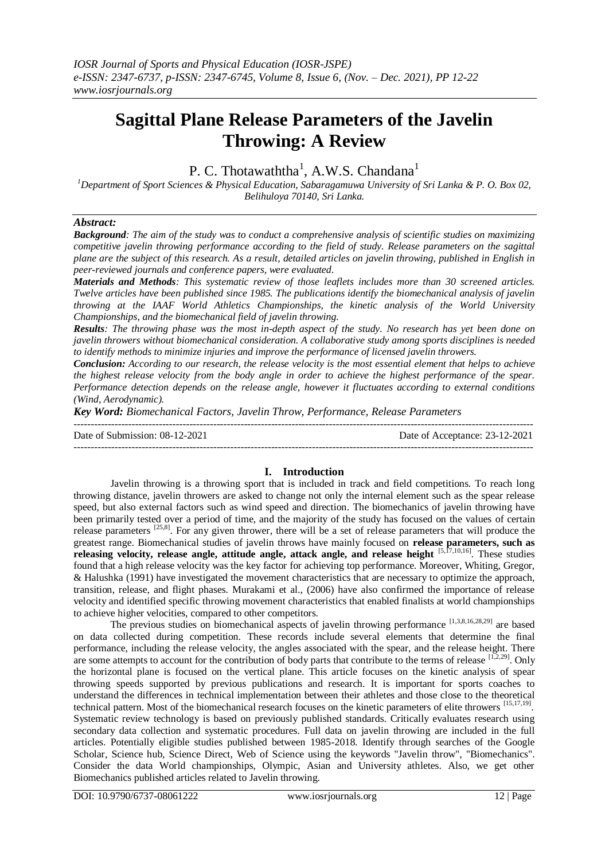# **Sagittal Plane Release Parameters of the Javelin Throwing: A Review**

# P. C. Thotawaththa<sup>1</sup>, A.W.S. Chandana<sup>1</sup>

*<sup>1</sup>Department of Sport Sciences & Physical Education, Sabaragamuwa University of Sri Lanka & P. O. Box 02, Belihuloya 70140, Sri Lanka.*

# *Abstract:*

*Background: The aim of the study was to conduct a comprehensive analysis of scientific studies on maximizing competitive javelin throwing performance according to the field of study. Release parameters on the sagittal plane are the subject of this research. As a result, detailed articles on javelin throwing, published in English in peer-reviewed journals and conference papers, were evaluated.*

*Materials and Methods: This systematic review of those leaflets includes more than 30 screened articles. Twelve articles have been published since 1985. The publications identify the biomechanical analysis of javelin throwing at the IAAF World Athletics Championships, the kinetic analysis of the World University Championships, and the biomechanical field of javelin throwing.*

*Results: The throwing phase was the most in-depth aspect of the study. No research has yet been done on javelin throwers without biomechanical consideration. A collaborative study among sports disciplines is needed to identify methods to minimize injuries and improve the performance of licensed javelin throwers.*

*Conclusion: According to our research, the release velocity is the most essential element that helps to achieve the highest release velocity from the body angle in order to achieve the highest performance of the spear. Performance detection depends on the release angle, however it fluctuates according to external conditions (Wind, Aerodynamic).*

*Key Word: Biomechanical Factors, Javelin Throw, Performance, Release Parameters*

--------------------------------------------------------------------------------------------------------------------------------------- Date of Submission: 08-12-2021 Date of Acceptance: 23-12-2021 ---------------------------------------------------------------------------------------------------------------------------------------

# **I. Introduction**

Javelin throwing is a throwing sport that is included in track and field competitions. To reach long throwing distance, javelin throwers are asked to change not only the internal element such as the spear release speed, but also external factors such as wind speed and direction. The biomechanics of javelin throwing have been primarily tested over a period of time, and the majority of the study has focused on the values of certain release parameters <sup>[25,8]</sup>. For any given thrower, there will be a set of release parameters that will produce the greatest range. Biomechanical studies of javelin throws have mainly focused on **release parameters, such as releasing velocity, release angle, attitude angle, attack angle, and release height** [5,17,10,16]. These studies found that a high release velocity was the key factor for achieving top performance. Moreover, Whiting, Gregor, & Halushka (1991) have investigated the movement characteristics that are necessary to optimize the approach, transition, release, and flight phases. Murakami et al., (2006) have also confirmed the importance of release velocity and identified specific throwing movement characteristics that enabled finalists at world championships to achieve higher velocities, compared to other competitors.

The previous studies on biomechanical aspects of javelin throwing performance [1,3,8,16,28,29] are based on data collected during competition. These records include several elements that determine the final performance, including the release velocity, the angles associated with the spear, and the release height. There are some attempts to account for the contribution of body parts that contribute to the terms of release  $[1,2,29]$ . Only the horizontal plane is focused on the vertical plane. This article focuses on the kinetic analysis of spear throwing speeds supported by previous publications and research. It is important for sports coaches to understand the differences in technical implementation between their athletes and those close to the theoretical technical pattern. Most of the biomechanical research focuses on the kinetic parameters of elite throwers [15,17,19]. Systematic review technology is based on previously published standards. Critically evaluates research using secondary data collection and systematic procedures. Full data on javelin throwing are included in the full articles. Potentially eligible studies published between 1985-2018. Identify through searches of the Google Scholar, Science hub, Science Direct, Web of Science using the keywords "Javelin throw", "Biomechanics". Consider the data World championships, Olympic, Asian and University athletes. Also, we get other Biomechanics published articles related to Javelin throwing.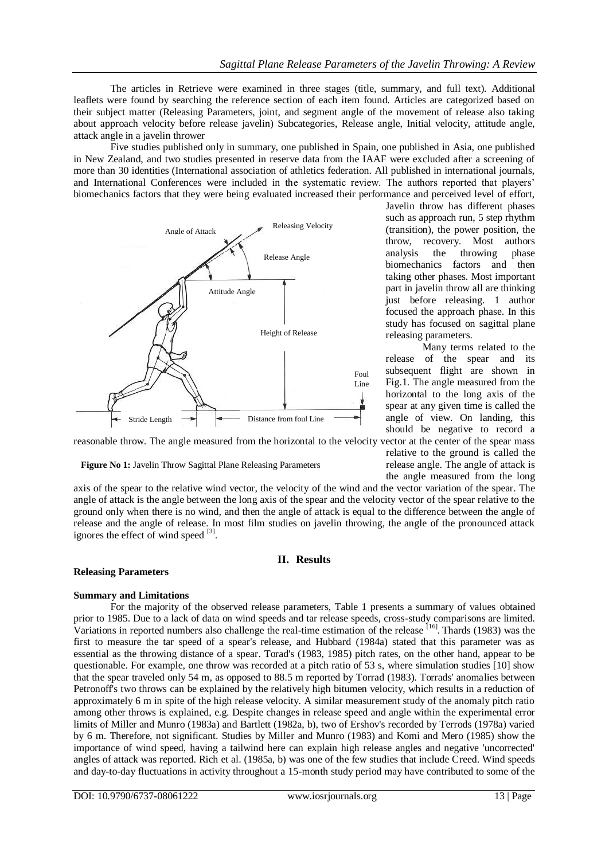The articles in Retrieve were examined in three stages (title, summary, and full text). Additional leaflets were found by searching the reference section of each item found. Articles are categorized based on their subject matter (Releasing Parameters, joint, and segment angle of the movement of release also taking about approach velocity before release javelin) Subcategories, Release angle, Initial velocity, attitude angle, attack angle in a javelin thrower

Five studies published only in summary, one published in Spain, one published in Asia, one published in New Zealand, and two studies presented in reserve data from the IAAF were excluded after a screening of more than 30 identities (International association of athletics federation. All published in international journals, and International Conferences were included in the systematic review. The authors reported that players' biomechanics factors that they were being evaluated increased their performance and perceived level of effort,



Javelin throw has different phases such as approach run, 5 step rhythm (transition), the power position, the throw, recovery. Most authors<br>analysis the throwing phase analysis the throwing biomechanics factors and then taking other phases. Most important part in javelin throw all are thinking just before releasing. 1 author focused the approach phase. In this study has focused on sagittal plane releasing parameters.

Many terms related to the release of the spear and its subsequent flight are shown in Fig.1. The angle measured from the horizontal to the long axis of the spear at any given time is called the angle of view. On landing, this should be negative to record a

relative to the ground is called the release angle. The angle of attack is the angle measured from the long

reasonable throw. The angle measured from the horizontal to the velocity vector at the center of the spear mass

**Figure No 1:** Javelin Throw Sagittal Plane Releasing Parameters

axis of the spear to the relative wind vector, the velocity of the wind and the vector variation of the spear. The angle of attack is the angle between the long axis of the spear and the velocity vector of the spear relative to the ground only when there is no wind, and then the angle of attack is equal to the difference between the angle of release and the angle of release. In most film studies on javelin throwing, the angle of the pronounced attack ignores the effect of wind speed [3].

# **II. Results**

# **Releasing Parameters**

# **Summary and Limitations**

For the majority of the observed release parameters, Table 1 presents a summary of values obtained prior to 1985. Due to a lack of data on wind speeds and tar release speeds, cross-study comparisons are limited. Variations in reported numbers also challenge the real-time estimation of the release <sup>[16]</sup>. Thards (1983) was the first to measure the tar speed of a spear's release, and Hubbard (1984a) stated that this parameter was as essential as the throwing distance of a spear. Torad's (1983, 1985) pitch rates, on the other hand, appear to be questionable. For example, one throw was recorded at a pitch ratio of 53 s, where simulation studies [10] show that the spear traveled only 54 m, as opposed to 88.5 m reported by Torrad (1983). Torrads' anomalies between Petronoff's two throws can be explained by the relatively high bitumen velocity, which results in a reduction of approximately 6 m in spite of the high release velocity. A similar measurement study of the anomaly pitch ratio among other throws is explained, e.g. Despite changes in release speed and angle within the experimental error limits of Miller and Munro (1983a) and Bartlett (1982a, b), two of Ershov's recorded by Terrods (1978a) varied by 6 m. Therefore, not significant. Studies by Miller and Munro (1983) and Komi and Mero (1985) show the importance of wind speed, having a tailwind here can explain high release angles and negative 'uncorrected' angles of attack was reported. Rich et al. (1985a, b) was one of the few studies that include Creed. Wind speeds and day-to-day fluctuations in activity throughout a 15-month study period may have contributed to some of the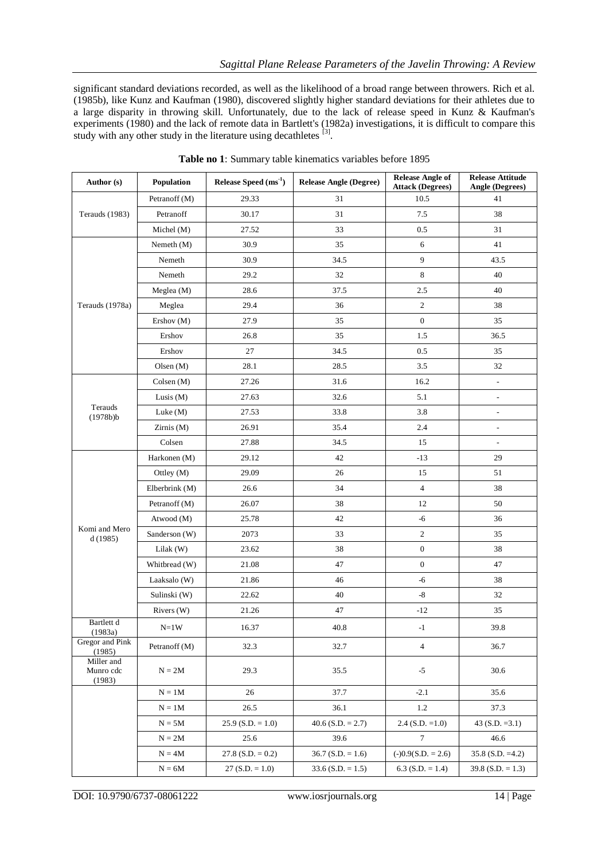significant standard deviations recorded, as well as the likelihood of a broad range between throwers. Rich et al. (1985b), like Kunz and Kaufman (1980), discovered slightly higher standard deviations for their athletes due to a large disparity in throwing skill. Unfortunately, due to the lack of release speed in Kunz & Kaufman's experiments (1980) and the lack of remote data in Bartlett's (1982a) investigations, it is difficult to compare this study with any other study in the literature using decathletes  $[3]$ .

| Author (s)                        | Population                                                                                                                                                                                                                                                                                                                                                                                                                                                                                                                                                                                                                                                                                                                                                                                                                                                                                                                                                                                                                                                                                                                                                                                                                                                                                                                                                                                                                                              | Release Speed $(ms-1)$ | <b>Release Angle (Degree)</b> | <b>Release Angle of</b><br><b>Attack (Degrees)</b> | <b>Release Attitude</b><br><b>Angle (Degrees)</b> |
|-----------------------------------|---------------------------------------------------------------------------------------------------------------------------------------------------------------------------------------------------------------------------------------------------------------------------------------------------------------------------------------------------------------------------------------------------------------------------------------------------------------------------------------------------------------------------------------------------------------------------------------------------------------------------------------------------------------------------------------------------------------------------------------------------------------------------------------------------------------------------------------------------------------------------------------------------------------------------------------------------------------------------------------------------------------------------------------------------------------------------------------------------------------------------------------------------------------------------------------------------------------------------------------------------------------------------------------------------------------------------------------------------------------------------------------------------------------------------------------------------------|------------------------|-------------------------------|----------------------------------------------------|---------------------------------------------------|
|                                   | Petranoff (M)                                                                                                                                                                                                                                                                                                                                                                                                                                                                                                                                                                                                                                                                                                                                                                                                                                                                                                                                                                                                                                                                                                                                                                                                                                                                                                                                                                                                                                           | 29.33                  | 31                            | 10.5                                               | 41                                                |
| Terauds (1983)                    | Petranoff                                                                                                                                                                                                                                                                                                                                                                                                                                                                                                                                                                                                                                                                                                                                                                                                                                                                                                                                                                                                                                                                                                                                                                                                                                                                                                                                                                                                                                               | 30.17                  | 31                            | 7.5                                                | 38                                                |
|                                   | Michel (M)                                                                                                                                                                                                                                                                                                                                                                                                                                                                                                                                                                                                                                                                                                                                                                                                                                                                                                                                                                                                                                                                                                                                                                                                                                                                                                                                                                                                                                              | 27.52                  | 33                            | 0.5                                                | 31                                                |
|                                   | Nemeth $(M)$                                                                                                                                                                                                                                                                                                                                                                                                                                                                                                                                                                                                                                                                                                                                                                                                                                                                                                                                                                                                                                                                                                                                                                                                                                                                                                                                                                                                                                            | 30.9                   | 35                            | $\sqrt{6}$                                         | 41                                                |
|                                   | Nemeth                                                                                                                                                                                                                                                                                                                                                                                                                                                                                                                                                                                                                                                                                                                                                                                                                                                                                                                                                                                                                                                                                                                                                                                                                                                                                                                                                                                                                                                  | 30.9                   | 34.5                          | 9                                                  | 43.5                                              |
|                                   | Nemeth                                                                                                                                                                                                                                                                                                                                                                                                                                                                                                                                                                                                                                                                                                                                                                                                                                                                                                                                                                                                                                                                                                                                                                                                                                                                                                                                                                                                                                                  | 29.2                   | 32                            | $\,$ 8 $\,$                                        | 40                                                |
|                                   | Meglea $(M)$                                                                                                                                                                                                                                                                                                                                                                                                                                                                                                                                                                                                                                                                                                                                                                                                                                                                                                                                                                                                                                                                                                                                                                                                                                                                                                                                                                                                                                            | 28.6                   | 37.5                          | 2.5                                                | 40                                                |
| Terauds (1978a)                   | Meglea                                                                                                                                                                                                                                                                                                                                                                                                                                                                                                                                                                                                                                                                                                                                                                                                                                                                                                                                                                                                                                                                                                                                                                                                                                                                                                                                                                                                                                                  | 29.4                   | 36                            | $\overline{c}$                                     | 38                                                |
|                                   | Ershov (M)                                                                                                                                                                                                                                                                                                                                                                                                                                                                                                                                                                                                                                                                                                                                                                                                                                                                                                                                                                                                                                                                                                                                                                                                                                                                                                                                                                                                                                              | 27.9                   | 35                            | $\overline{0}$                                     | 35                                                |
|                                   | Ershov                                                                                                                                                                                                                                                                                                                                                                                                                                                                                                                                                                                                                                                                                                                                                                                                                                                                                                                                                                                                                                                                                                                                                                                                                                                                                                                                                                                                                                                  | 26.8                   | 35                            | 1.5                                                | 36.5                                              |
|                                   | Ershov                                                                                                                                                                                                                                                                                                                                                                                                                                                                                                                                                                                                                                                                                                                                                                                                                                                                                                                                                                                                                                                                                                                                                                                                                                                                                                                                                                                                                                                  | 27                     | 34.5                          | 0.5                                                | 35                                                |
|                                   | 28.5<br>3.5<br>32<br>Olsen $(M)$<br>28.1<br>27.26<br>31.6<br>16.2<br>$\text{Colsen}(M)$<br>$\frac{1}{2}$<br>27.63<br>32.6<br>Lusis $(M)$<br>5.1<br>$\qquad \qquad \blacksquare$<br>33.8<br>Luke $(M)$<br>27.53<br>3.8<br>$\overline{a}$<br>Zirnis(M)<br>26.91<br>35.4<br>2.4<br>$\frac{1}{2}$<br>Colsen<br>27.88<br>34.5<br>15<br>$\frac{1}{2}$<br>Harkonen (M)<br>29.12<br>42<br>$-13$<br>29<br>29.09<br>26<br>Ottley (M)<br>15<br>51<br>34<br>$\overline{4}$<br>38<br>Elberbrink (M)<br>26.6<br>38<br>Petranoff (M)<br>26.07<br>12<br>50<br>42<br>$-6$<br>Atwood (M)<br>25.78<br>36<br>Sanderson (W)<br>2073<br>33<br>$\sqrt{2}$<br>35<br>$\boldsymbol{0}$<br>38<br>Lilak $(W)$<br>23.62<br>38<br>Whitbread (W)<br>21.08<br>47<br>$\mathbf{0}$<br>47<br>46<br>$-6$<br>21.86<br>38<br>Laaksalo (W)<br>22.62<br>40<br>$-8$<br>32<br>Sulinski (W)<br>21.26<br>47<br>$-12$<br>35<br>Rivers $(W)$<br>16.37<br>$40.8\,$<br>39.8<br>$N=1W$<br>$-1$<br>32.3<br>32.7<br>$\overline{4}$<br>36.7<br>Petranoff (M)<br>$\mathbf{N}=2\mathbf{M}$<br>$-5$<br>29.3<br>35.5<br>30.6<br>$N = 1M$<br>26<br>37.7<br>$-2.1$<br>35.6<br>36.1<br>1.2<br>$N = 1M$<br>26.5<br>37.3<br>$2.4$ (S.D. =1.0)<br>$N = 5M$<br>$25.9$ (S.D. = 1.0)<br>$40.6$ (S.D. = 2.7)<br>$\tau$<br>$N = 2M$<br>25.6<br>39.6<br>46.6<br>$N = 4M$<br>$27.8$ (S.D. = 0.2)<br>$36.7$ (S.D. = 1.6)<br>$(-)0.9(S.D. = 2.6)$<br>$N = 6M$<br>$27(S.D. = 1.0)$<br>$33.6$ (S.D. = 1.5)<br>$6.3$ (S.D. = 1.4) |                        |                               |                                                    |                                                   |
|                                   |                                                                                                                                                                                                                                                                                                                                                                                                                                                                                                                                                                                                                                                                                                                                                                                                                                                                                                                                                                                                                                                                                                                                                                                                                                                                                                                                                                                                                                                         |                        |                               |                                                    |                                                   |
|                                   |                                                                                                                                                                                                                                                                                                                                                                                                                                                                                                                                                                                                                                                                                                                                                                                                                                                                                                                                                                                                                                                                                                                                                                                                                                                                                                                                                                                                                                                         |                        |                               |                                                    |                                                   |
| Terauds<br>(1978b)                |                                                                                                                                                                                                                                                                                                                                                                                                                                                                                                                                                                                                                                                                                                                                                                                                                                                                                                                                                                                                                                                                                                                                                                                                                                                                                                                                                                                                                                                         |                        |                               |                                                    |                                                   |
|                                   |                                                                                                                                                                                                                                                                                                                                                                                                                                                                                                                                                                                                                                                                                                                                                                                                                                                                                                                                                                                                                                                                                                                                                                                                                                                                                                                                                                                                                                                         |                        |                               |                                                    |                                                   |
|                                   |                                                                                                                                                                                                                                                                                                                                                                                                                                                                                                                                                                                                                                                                                                                                                                                                                                                                                                                                                                                                                                                                                                                                                                                                                                                                                                                                                                                                                                                         |                        |                               |                                                    |                                                   |
|                                   |                                                                                                                                                                                                                                                                                                                                                                                                                                                                                                                                                                                                                                                                                                                                                                                                                                                                                                                                                                                                                                                                                                                                                                                                                                                                                                                                                                                                                                                         |                        |                               |                                                    |                                                   |
|                                   |                                                                                                                                                                                                                                                                                                                                                                                                                                                                                                                                                                                                                                                                                                                                                                                                                                                                                                                                                                                                                                                                                                                                                                                                                                                                                                                                                                                                                                                         |                        |                               |                                                    |                                                   |
|                                   |                                                                                                                                                                                                                                                                                                                                                                                                                                                                                                                                                                                                                                                                                                                                                                                                                                                                                                                                                                                                                                                                                                                                                                                                                                                                                                                                                                                                                                                         |                        |                               |                                                    |                                                   |
|                                   |                                                                                                                                                                                                                                                                                                                                                                                                                                                                                                                                                                                                                                                                                                                                                                                                                                                                                                                                                                                                                                                                                                                                                                                                                                                                                                                                                                                                                                                         |                        |                               |                                                    |                                                   |
|                                   |                                                                                                                                                                                                                                                                                                                                                                                                                                                                                                                                                                                                                                                                                                                                                                                                                                                                                                                                                                                                                                                                                                                                                                                                                                                                                                                                                                                                                                                         |                        |                               |                                                    |                                                   |
| Komi and Mero<br>d(1985)          |                                                                                                                                                                                                                                                                                                                                                                                                                                                                                                                                                                                                                                                                                                                                                                                                                                                                                                                                                                                                                                                                                                                                                                                                                                                                                                                                                                                                                                                         |                        |                               |                                                    |                                                   |
|                                   |                                                                                                                                                                                                                                                                                                                                                                                                                                                                                                                                                                                                                                                                                                                                                                                                                                                                                                                                                                                                                                                                                                                                                                                                                                                                                                                                                                                                                                                         |                        |                               |                                                    |                                                   |
|                                   |                                                                                                                                                                                                                                                                                                                                                                                                                                                                                                                                                                                                                                                                                                                                                                                                                                                                                                                                                                                                                                                                                                                                                                                                                                                                                                                                                                                                                                                         |                        |                               |                                                    |                                                   |
|                                   |                                                                                                                                                                                                                                                                                                                                                                                                                                                                                                                                                                                                                                                                                                                                                                                                                                                                                                                                                                                                                                                                                                                                                                                                                                                                                                                                                                                                                                                         |                        |                               |                                                    |                                                   |
|                                   |                                                                                                                                                                                                                                                                                                                                                                                                                                                                                                                                                                                                                                                                                                                                                                                                                                                                                                                                                                                                                                                                                                                                                                                                                                                                                                                                                                                                                                                         |                        |                               |                                                    |                                                   |
|                                   |                                                                                                                                                                                                                                                                                                                                                                                                                                                                                                                                                                                                                                                                                                                                                                                                                                                                                                                                                                                                                                                                                                                                                                                                                                                                                                                                                                                                                                                         |                        |                               |                                                    |                                                   |
| Bartlett d<br>(1983a)             |                                                                                                                                                                                                                                                                                                                                                                                                                                                                                                                                                                                                                                                                                                                                                                                                                                                                                                                                                                                                                                                                                                                                                                                                                                                                                                                                                                                                                                                         |                        |                               |                                                    |                                                   |
| Gregor and Pink<br>(1985)         |                                                                                                                                                                                                                                                                                                                                                                                                                                                                                                                                                                                                                                                                                                                                                                                                                                                                                                                                                                                                                                                                                                                                                                                                                                                                                                                                                                                                                                                         |                        |                               |                                                    |                                                   |
| Miller and<br>Munro cdc<br>(1983) |                                                                                                                                                                                                                                                                                                                                                                                                                                                                                                                                                                                                                                                                                                                                                                                                                                                                                                                                                                                                                                                                                                                                                                                                                                                                                                                                                                                                                                                         |                        |                               |                                                    |                                                   |
|                                   |                                                                                                                                                                                                                                                                                                                                                                                                                                                                                                                                                                                                                                                                                                                                                                                                                                                                                                                                                                                                                                                                                                                                                                                                                                                                                                                                                                                                                                                         |                        |                               |                                                    |                                                   |
|                                   |                                                                                                                                                                                                                                                                                                                                                                                                                                                                                                                                                                                                                                                                                                                                                                                                                                                                                                                                                                                                                                                                                                                                                                                                                                                                                                                                                                                                                                                         |                        |                               |                                                    |                                                   |
|                                   |                                                                                                                                                                                                                                                                                                                                                                                                                                                                                                                                                                                                                                                                                                                                                                                                                                                                                                                                                                                                                                                                                                                                                                                                                                                                                                                                                                                                                                                         |                        |                               |                                                    | 43 $(S.D. = 3.1)$                                 |
|                                   |                                                                                                                                                                                                                                                                                                                                                                                                                                                                                                                                                                                                                                                                                                                                                                                                                                                                                                                                                                                                                                                                                                                                                                                                                                                                                                                                                                                                                                                         |                        |                               |                                                    |                                                   |
|                                   |                                                                                                                                                                                                                                                                                                                                                                                                                                                                                                                                                                                                                                                                                                                                                                                                                                                                                                                                                                                                                                                                                                                                                                                                                                                                                                                                                                                                                                                         |                        |                               |                                                    | $35.8$ (S.D. =4.2)                                |
|                                   |                                                                                                                                                                                                                                                                                                                                                                                                                                                                                                                                                                                                                                                                                                                                                                                                                                                                                                                                                                                                                                                                                                                                                                                                                                                                                                                                                                                                                                                         |                        |                               |                                                    | $39.8$ (S.D. = 1.3)                               |
|                                   |                                                                                                                                                                                                                                                                                                                                                                                                                                                                                                                                                                                                                                                                                                                                                                                                                                                                                                                                                                                                                                                                                                                                                                                                                                                                                                                                                                                                                                                         |                        |                               |                                                    |                                                   |

**Table no 1**: Summary table kinematics variables before 1895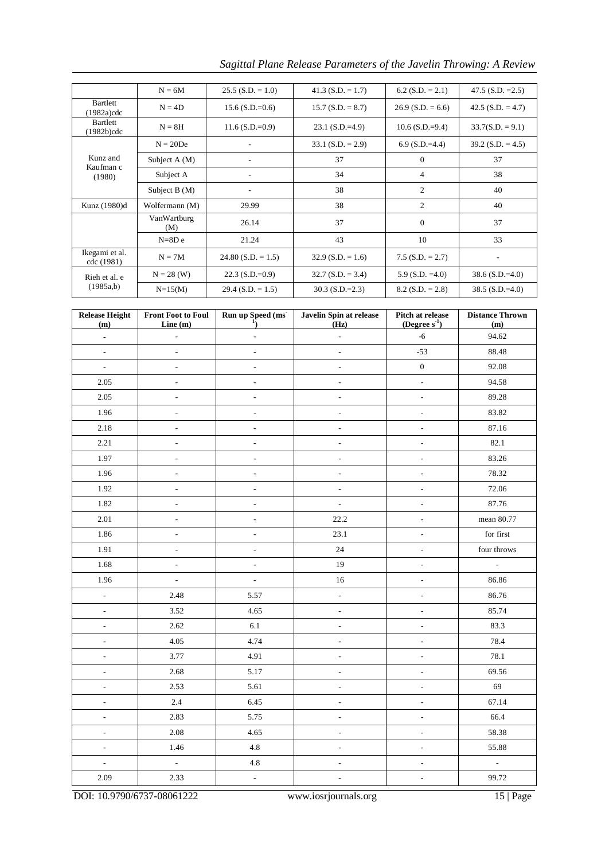*Sagittal Plane Release Parameters of the Javelin Throwing: A Review* 

|                                  | $N = 6M$           | $25.5$ (S.D. = 1.0)      | $41.3$ (S.D. = 1.7) | $6.2$ (S.D. = 2.1)  | 47.5 $(S.D. = 2.5)$ |
|----------------------------------|--------------------|--------------------------|---------------------|---------------------|---------------------|
| <b>Bartlett</b><br>$(1982a)$ cdc | $N = 4D$           | $15.6$ (S.D.=0.6)        | $15.7(S.D. = 8.7)$  | $26.9$ (S.D. = 6.6) | $42.5$ (S.D. = 4.7) |
| <b>Bartlett</b><br>$(1982b)$ cdc | $N = 8H$           | $11.6$ (S.D.=0.9)        | $23.1$ (S.D.=4.9)   | $10.6$ (S.D.=9.4)   | $33.7(S.D. = 9.1)$  |
|                                  | $N = 20De$         |                          | $33.1$ (S.D. = 2.9) | $6.9$ (S.D.=4.4)    | $39.2$ (S.D. = 4.5) |
| Kunz and                         | Subject $A(M)$     |                          | 37                  | $\theta$            | 37                  |
| Kaufman c<br>(1980)              | Subject A          |                          | 34                  | 4                   | 38                  |
|                                  | Subject $B(M)$     | $\overline{\phantom{a}}$ | 38                  | $\overline{2}$      | 40                  |
| Kunz (1980)d                     | Wolfermann (M)     | 29.99                    | 38                  | $\overline{2}$      | 40                  |
|                                  | VanWartburg<br>(M) | 26.14                    | 37                  | $\theta$            | 37                  |
|                                  | $N = 8D e$         | 21.24                    | 43                  | 10                  | 33                  |
| Ikegami et al.<br>cdc (1981)     | $N = 7M$           | $24.80$ (S.D. = 1.5)     | $32.9$ (S.D. = 1.6) | $7.5$ (S.D. = 2.7)  | $\qquad \qquad$     |
| Rieh et al. e                    | $N = 28$ (W)       | $22.3$ (S.D.=0.9)        | $32.7 (S.D. = 3.4)$ | $5.9$ (S.D. =4.0)   | $38.6$ (S.D.=4.0)   |
| (1985a,b)                        | $N = 15(M)$        | $29.4$ (S.D. = 1.5)      | $30.3$ (S.D.=2.3)   | $8.2$ (S.D. = 2.8)  | $38.5$ (S.D.=4.0)   |

| <b>Release Height</b><br>(m) | <b>Front Foot to Foul</b><br>Line $(m)$ | Run up Speed (ms<br>Javelin Spin at release<br>$\mathbf{1}_{\mathcal{L}}$<br>(Hz) |                          | Pitch at release<br>(Degree $s^{-1}$ ) | <b>Distance Thrown</b><br>(m) |
|------------------------------|-----------------------------------------|-----------------------------------------------------------------------------------|--------------------------|----------------------------------------|-------------------------------|
| ÷,                           | $\overline{\phantom{a}}$                | ÷,                                                                                | $\overline{\phantom{a}}$ | $-6$                                   | 94.62                         |
| $\overline{\phantom{a}}$     | $\frac{1}{2}$                           | $\blacksquare$                                                                    | $\overline{\phantom{a}}$ | $-53$                                  | 88.48                         |
| $\overline{a}$               | $\overline{\phantom{0}}$                | $\overline{a}$                                                                    | $\frac{1}{2}$            | $\boldsymbol{0}$                       | 92.08                         |
| 2.05                         | $\blacksquare$                          | $\overline{\phantom{a}}$                                                          | $\overline{\phantom{a}}$ | $\overline{\phantom{a}}$               | 94.58                         |
| $2.05\,$                     | $\overline{a}$                          | $\overline{a}$                                                                    | $\frac{1}{2}$            | $\overline{\phantom{a}}$               | 89.28                         |
| 1.96                         | $\overline{\phantom{a}}$                | $\frac{1}{2}$                                                                     | $\overline{\phantom{a}}$ | $\overline{\phantom{a}}$               | 83.82                         |
| 2.18                         | $\overline{\phantom{a}}$                | L,                                                                                | $\blacksquare$           | $\frac{1}{2}$                          | 87.16                         |
| 2.21                         | $\overline{\phantom{a}}$                | $\blacksquare$                                                                    | $\bar{\phantom{a}}$      | $\overline{\phantom{a}}$               | 82.1                          |
| 1.97                         | $\overline{\phantom{a}}$                | L,                                                                                | $\Box$                   | $\overline{\phantom{a}}$               | 83.26                         |
| 1.96                         | $\blacksquare$                          | $\blacksquare$                                                                    | $\bar{\phantom{a}}$      | $\overline{\phantom{a}}$               | 78.32                         |
| 1.92                         | $\overline{\phantom{a}}$                | $\overline{\phantom{0}}$                                                          | $\Box$                   | $\overline{\phantom{a}}$               | 72.06                         |
| 1.82                         | $\overline{\phantom{a}}$                | ÷,                                                                                | ÷,                       | $\overline{\phantom{a}}$               | 87.76                         |
| $2.01\,$                     | $\overline{\phantom{0}}$                | $\frac{1}{2}$                                                                     | 22.2                     | $\frac{1}{2}$                          | mean 80.77                    |
| 1.86                         | $\overline{\phantom{a}}$                | $\overline{\phantom{0}}$                                                          | 23.1                     | $\overline{\phantom{a}}$               | for first                     |
| 1.91                         | $\overline{\phantom{a}}$                | $\blacksquare$                                                                    | 24                       | $\overline{\phantom{a}}$               | four throws                   |
| 1.68                         | $\overline{\phantom{a}}$                | $\overline{\phantom{a}}$                                                          | 19                       | $\overline{\phantom{a}}$               | $\mathbb{Z}$                  |
| 1.96                         | $\frac{1}{2}$                           | L,                                                                                | $16\,$                   | Ĭ,                                     | 86.86                         |
| $\overline{\phantom{a}}$     | 2.48                                    | 5.57                                                                              | $\overline{\phantom{a}}$ | $\overline{\phantom{a}}$               | 86.76                         |
| $\blacksquare$               | 3.52                                    | 4.65                                                                              | $\blacksquare$           | $\overline{\phantom{a}}$               | 85.74                         |
| $\overline{\phantom{a}}$     | 2.62                                    | 6.1                                                                               | $\overline{\phantom{a}}$ | $\Box$                                 | 83.3                          |
| $\bar{\phantom{a}}$          | 4.05                                    | 4.74                                                                              | $\overline{\phantom{a}}$ | $\qquad \qquad -$                      | 78.4                          |
| $\overline{\phantom{a}}$     | 3.77                                    | 4.91                                                                              | $\overline{\phantom{a}}$ | $\overline{\phantom{a}}$               | 78.1                          |
| $\overline{\phantom{a}}$     | 2.68                                    | 5.17                                                                              | $\overline{\phantom{a}}$ | $\overline{\phantom{a}}$               | 69.56                         |
| $\Box$                       | 2.53                                    | 5.61                                                                              | $\Box$                   | $\overline{\phantom{a}}$               | 69                            |
| $\overline{\phantom{a}}$     | 2.4                                     | 6.45                                                                              | $\overline{\phantom{a}}$ | $\overline{\phantom{0}}$               | 67.14                         |
| $\overline{\phantom{a}}$     | 2.83                                    | 5.75                                                                              | $\Box$                   | $\overline{\phantom{a}}$               | 66.4                          |
| $\overline{\phantom{a}}$     | 2.08                                    | 4.65                                                                              | $\overline{\phantom{a}}$ | $\overline{\phantom{a}}$               | 58.38                         |
| ÷,                           | 1.46                                    | 4.8                                                                               | $\overline{\phantom{a}}$ | $\overline{\phantom{a}}$               | 55.88                         |
| $\overline{\phantom{a}}$     | $\mathbb{Z}^2$                          | 4.8                                                                               | $\overline{\phantom{a}}$ | $\overline{\phantom{a}}$               | $\overline{\phantom{a}}$      |
| 2.09                         | 2.33                                    | $\Box$                                                                            | $\bar{\phantom{a}}$      | $\overline{\phantom{a}}$               | 99.72                         |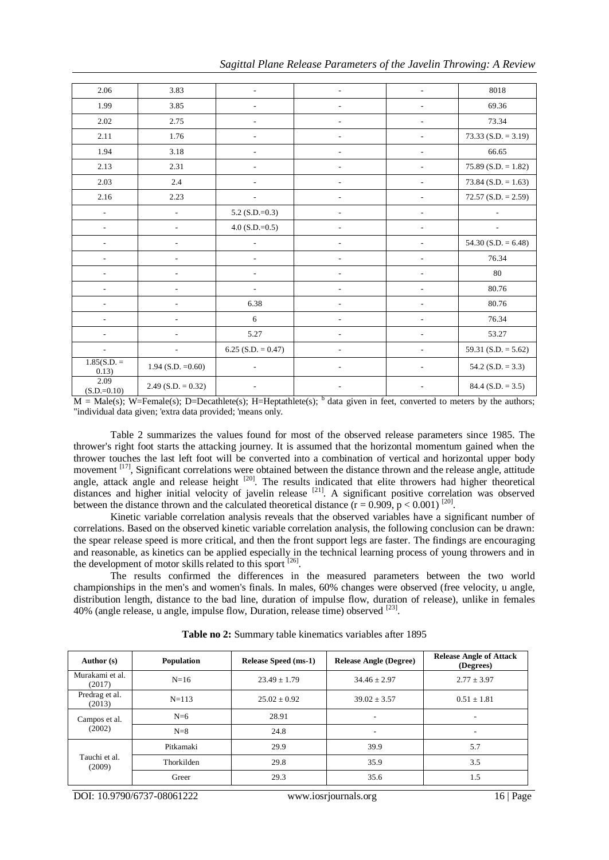|  |  |  |  | Sagittal Plane Release Parameters of the Javelin Throwing: A Review |
|--|--|--|--|---------------------------------------------------------------------|
|--|--|--|--|---------------------------------------------------------------------|

| 2.06                     | 3.83                     | $\overline{a}$               | $\qquad \qquad \blacksquare$ | L.                       | 8018                   |
|--------------------------|--------------------------|------------------------------|------------------------------|--------------------------|------------------------|
| 1.99                     | 3.85                     | $\overline{a}$               | $\overline{\phantom{a}}$     | $\overline{\phantom{a}}$ | 69.36                  |
| 2.02                     | 2.75                     |                              | ٠                            | $\overline{a}$           | 73.34                  |
| 2.11                     | 1.76                     |                              |                              |                          | $73.33(S.D. = 3.19)$   |
| 1.94                     | 3.18                     |                              |                              | $\overline{a}$           | 66.65                  |
| 2.13                     | 2.31                     | $\overline{a}$               | $\overline{\phantom{a}}$     | $\overline{\phantom{a}}$ | $75.89$ (S.D. = 1.82)  |
| 2.03                     | 2.4                      | $\overline{a}$               | $\overline{a}$               | $\overline{\phantom{a}}$ | 73.84 (S.D. = $1.63$ ) |
| 2.16                     | 2.23                     |                              | ٠                            |                          | $72.57(S.D. = 2.59)$   |
| $\frac{1}{2}$            | $\overline{a}$           | 5.2 (S.D.= $0.3$ )           |                              | $\overline{a}$           |                        |
| ٠                        | $\overline{a}$           | $4.0$ (S.D.=0.5)             |                              | $\overline{\phantom{a}}$ |                        |
| $\overline{\phantom{a}}$ | $\blacksquare$           | $\overline{\phantom{a}}$     | $\overline{\phantom{a}}$     | $\overline{\phantom{a}}$ | 54.30 (S.D. $= 6.48$ ) |
| $\overline{\phantom{a}}$ | $\overline{a}$           | $\overline{a}$               | $\qquad \qquad \blacksquare$ | $\overline{\phantom{a}}$ | 76.34                  |
| $\overline{a}$           |                          | ÷.                           | $\overline{a}$               |                          | 80                     |
| $\overline{\phantom{a}}$ |                          | $\overline{a}$               |                              |                          | 80.76                  |
|                          |                          | 6.38                         |                              | $\overline{\phantom{a}}$ | 80.76                  |
| $\overline{\phantom{a}}$ | $\frac{1}{2}$            | $\sqrt{6}$                   | $\overline{\phantom{a}}$     | $\overline{\phantom{0}}$ | 76.34                  |
| $\overline{a}$           | $\overline{a}$           | 5.27                         | $\qquad \qquad \blacksquare$ | $\overline{a}$           | 53.27                  |
| $\overline{\phantom{a}}$ | $\overline{\phantom{a}}$ | $6.25$ (S.D. = 0.47)         | $\overline{\phantom{a}}$     |                          | 59.31 (S.D. $= 5.62$ ) |
| $1.85(S.D. =$<br>0.13)   | 1.94 (S.D. $=0.60$ )     | $\qquad \qquad \blacksquare$ | $\qquad \qquad \blacksquare$ |                          | 54.2 (S.D. = $3.3$ )   |
| 2.09<br>$(S.D.=0.10)$    | $2.49$ (S.D. = 0.32)     | $\overline{\phantom{a}}$     | $\overline{\phantom{a}}$     |                          | $84.4$ (S.D. = 3.5)    |

 $M = Male(s)$ ; W=Female(s); D=Decathlete(s); H=Heptathlete(s); <sup>b</sup> data given in feet, converted to meters by the authors; "individual data given; 'extra data provided; 'means only.

Table 2 summarizes the values found for most of the observed release parameters since 1985. The thrower's right foot starts the attacking journey. It is assumed that the horizontal momentum gained when the thrower touches the last left foot will be converted into a combination of vertical and horizontal upper body movement [17], Significant correlations were obtained between the distance thrown and the release angle, attitude angle, attack angle and release height <sup>[20]</sup>. The results indicated that elite throwers had higher theoretical distances and higher initial velocity of javelin release <sup>[21]</sup>. A significant positive correlation was observed between the distance thrown and the calculated theoretical distance  $(r = 0.909, p < 0.001)^{[20]}$ .

Kinetic variable correlation analysis reveals that the observed variables have a significant number of correlations. Based on the observed kinetic variable correlation analysis, the following conclusion can be drawn: the spear release speed is more critical, and then the front support legs are faster. The findings are encouraging and reasonable, as kinetics can be applied especially in the technical learning process of young throwers and in the development of motor skills related to this sport [26].

The results confirmed the differences in the measured parameters between the two world championships in the men's and women's finals. In males, 60% changes were observed (free velocity, u angle, distribution length, distance to the bad line, duration of impulse flow, duration of release), unlike in females 40% (angle release, u angle, impulse flow, Duration, release time) observed <sup>[23]</sup>.

| Author (s)                | Population | <b>Release Speed (ms-1)</b> | <b>Release Angle (Degree)</b> | <b>Release Angle of Attack</b><br>(Degrees) |
|---------------------------|------------|-----------------------------|-------------------------------|---------------------------------------------|
| Murakami et al.<br>(2017) | $N=16$     | $23.49 + 1.79$              | $34.46 + 2.97$                | $2.77 \pm 3.97$                             |
| Predrag et al.<br>(2013)  | $N = 113$  | $25.02 \pm 0.92$            | $39.02 \pm 3.57$              | $0.51 \pm 1.81$                             |
| Campos et al.<br>(2002)   | $N=6$      | 28.91                       | $\overline{\phantom{a}}$      |                                             |
|                           | $N=8$      | 24.8                        | $\overline{\phantom{a}}$      |                                             |
|                           | Pitkamaki  | 29.9                        | 39.9                          | 5.7                                         |
| Tauchi et al.<br>(2009)   | Thorkilden | 29.8                        | 35.9                          | 3.5                                         |
|                           | Greer      | 29.3                        | 35.6                          | 1.5                                         |

**Table no 2:** Summary table kinematics variables after 1895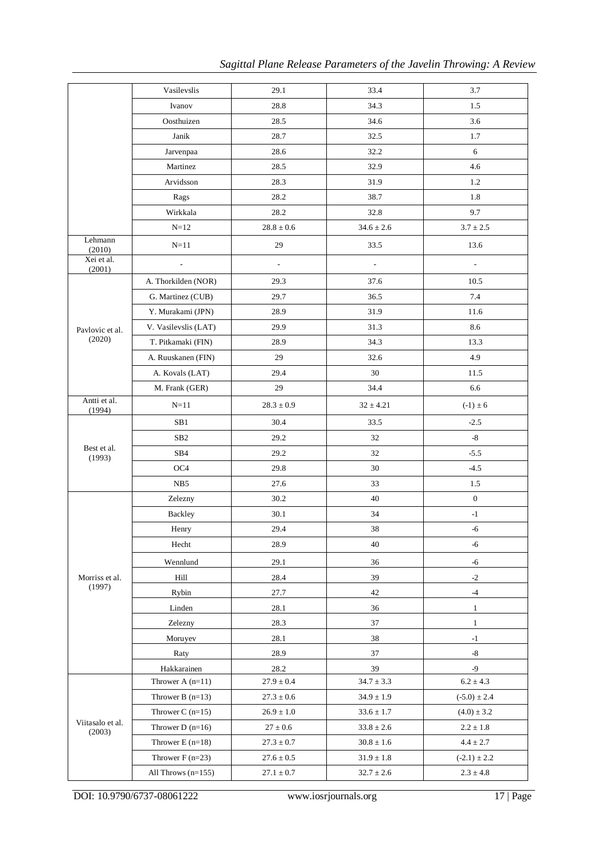|                            | Vasilevslis          | 29.1                     | 33.4                     | 3.7                      |
|----------------------------|----------------------|--------------------------|--------------------------|--------------------------|
|                            | Ivanov               | 28.8                     | 34.3                     | 1.5                      |
|                            | Oosthuizen           | 28.5                     | 34.6                     | 3.6                      |
|                            | Janik                | 28.7                     | 32.5                     | 1.7                      |
|                            | Jarvenpaa            | 28.6                     | 32.2                     | 6                        |
|                            | Martinez             | 28.5                     | 32.9                     | 4.6                      |
|                            | Arvidsson            | 28.3                     | 31.9                     | 1.2                      |
|                            | Rags                 | 28.2                     | 38.7                     | 1.8                      |
|                            | Wirkkala             | 28.2                     | 32.8                     | 9.7                      |
|                            | $N = 12$             | $28.8 \pm 0.6$           | $34.6 \pm 2.6$           | $3.7 \pm 2.5$            |
| Lehmann<br>(2010)          | $N=11$               | 29                       | 33.5                     | 13.6                     |
| Xei et al.<br>(2001)       | Ĭ.                   | $\overline{\phantom{a}}$ | $\overline{\phantom{a}}$ | $\overline{\phantom{m}}$ |
|                            | A. Thorkilden (NOR)  | 29.3                     | 37.6                     | 10.5                     |
|                            | G. Martinez (CUB)    | 29.7                     | 36.5                     | 7.4                      |
|                            | Y. Murakami (JPN)    | 28.9                     | 31.9                     | 11.6                     |
| Pavlovic et al.            | V. Vasilevslis (LAT) | 29.9                     | 31.3                     | 8.6                      |
| (2020)                     | T. Pitkamaki (FIN)   | 28.9                     | 34.3                     | 13.3                     |
|                            | A. Ruuskanen (FIN)   | 29                       | 32.6                     | 4.9                      |
|                            | A. Kovals (LAT)      | 29.4                     | 30                       | 11.5                     |
|                            | M. Frank (GER)       | 29                       | 34.4                     | 6.6                      |
| Antti et al.<br>(1994)     | $N = 11$             | $28.3 \pm 0.9$           | $32 \pm 4.21$            | $(-1) \pm 6$             |
|                            | SB1                  | 30.4                     | 33.5                     | $-2.5$                   |
|                            | SB <sub>2</sub>      | 29.2                     | 32                       | $-8$                     |
| Best et al.<br>(1993)      | SB <sub>4</sub>      | 29.2                     | 32                       | $-5.5$                   |
|                            | OC <sub>4</sub>      | 29.8                     | 30                       | $-4.5$                   |
|                            | NB5                  | 27.6                     | 33                       | 1.5                      |
|                            | Zelezny              | 30.2                     | 40                       | $\mathbf{0}$             |
|                            | <b>Backley</b>       | 30.1                     | 34                       | $-1$                     |
|                            | Henry                | 29.4                     | 38                       | $-6$                     |
|                            | Hecht                | 28.9                     | 40                       | -6                       |
|                            | Wennlund             | 29.1                     | 36                       | $-6$                     |
| Morriss et al.             | Hill                 | 28.4                     | 39                       | $-2$                     |
| (1997)                     | Rybin                | 27.7                     | 42                       | $-4$                     |
|                            | Linden               | 28.1                     | 36                       | $\mathbf{1}$             |
|                            | Zelezny              | 28.3                     | 37                       | $\mathbf{1}$             |
|                            | Moruyev              | 28.1                     | 38                       | $-1$                     |
|                            | Raty                 | 28.9                     | 37                       | $-8$                     |
|                            | Hakkarainen          | 28.2                     | 39                       | $-9$                     |
|                            | Thrower A $(n=11)$   | $27.9 \pm 0.4$           | $34.7 \pm 3.3$           | $6.2 \pm 4.3$            |
|                            | Thrower B $(n=13)$   | $27.3 \pm 0.6$           | $34.9 \pm 1.9$           | $(-5.0) \pm 2.4$         |
|                            | Thrower C $(n=15)$   | $26.9\pm1.0$             | $33.6 \pm 1.7$           | $(4.0) \pm 3.2$          |
| Viitasalo et al.<br>(2003) | Thrower D $(n=16)$   | $27\pm0.6$               | $33.8 \pm 2.6$           | $2.2 \pm 1.8$            |
|                            | Thrower $E(n=18)$    | $27.3 \pm 0.7$           | $30.8 \pm 1.6$           | $4.4\pm2.7$              |
|                            | Thrower $F(n=23)$    | $27.6 \pm 0.5$           | $31.9 \pm 1.8$           | $(-2.1) \pm 2.2$         |
|                            | All Throws $(n=155)$ | $27.1 \pm 0.7$           | $32.7 \pm 2.6$           | $2.3\pm4.8$              |

DOI: 10.9790/6737-08061222 www.iosrjournals.org 17 | Page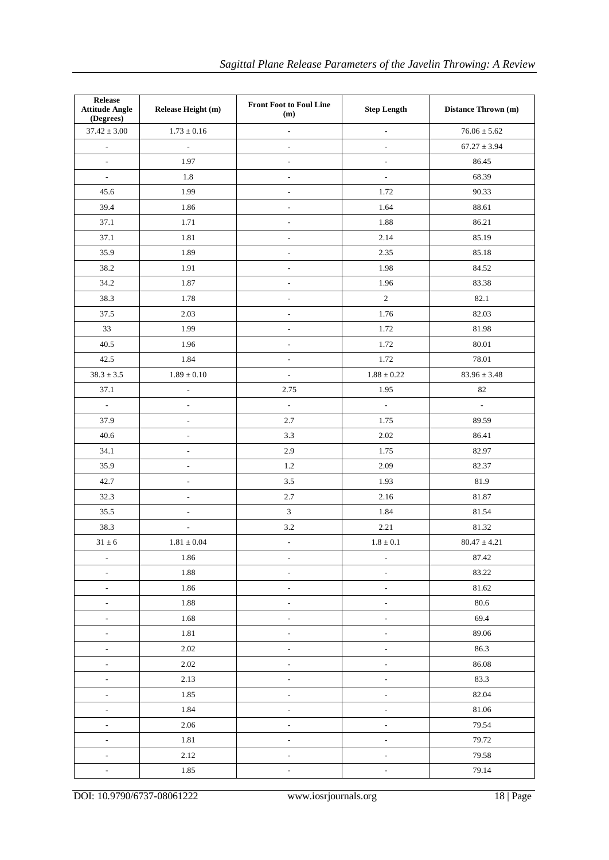| Release<br><b>Attitude Angle</b><br>(Degrees) | <b>Front Foot to Foul Line</b><br>Release Height (m)<br><b>Step Length</b><br>(m) |                          | Distance Thrown (m)          |                     |
|-----------------------------------------------|-----------------------------------------------------------------------------------|--------------------------|------------------------------|---------------------|
| $37.42 \pm 3.00$                              | $1.73 \pm 0.16$                                                                   | $\overline{\phantom{a}}$ | $\overline{\phantom{a}}$     | $76.06 \pm 5.62$    |
| $\overline{\phantom{a}}$                      | $\frac{1}{2}$                                                                     | $\overline{\phantom{a}}$ | $\overline{\phantom{a}}$     | $67.27 \pm 3.94$    |
| $\overline{\phantom{a}}$                      | 1.97                                                                              | $\overline{\phantom{a}}$ | $\overline{\phantom{a}}$     | 86.45               |
| $\overline{\phantom{a}}$                      | 1.8                                                                               | $\overline{\phantom{0}}$ | $\blacksquare$               | 68.39               |
| 45.6                                          | 1.99                                                                              | $\overline{\phantom{0}}$ | 1.72                         | 90.33               |
| 39.4                                          | 1.86                                                                              | $\overline{\phantom{a}}$ | 1.64                         | 88.61               |
| 37.1                                          | 1.71                                                                              | $\overline{\phantom{a}}$ | 1.88                         | 86.21               |
| 37.1                                          | 1.81                                                                              | $\overline{\phantom{a}}$ | 2.14                         | 85.19               |
| 35.9                                          | 1.89                                                                              | $\overline{\phantom{a}}$ | 2.35                         | 85.18               |
| 38.2                                          | 1.91                                                                              | $\blacksquare$           | 1.98                         | 84.52               |
| 34.2                                          | 1.87                                                                              | $\overline{\phantom{a}}$ | 1.96                         | 83.38               |
| 38.3                                          | 1.78                                                                              | $\overline{\phantom{a}}$ | $\sqrt{2}$                   | 82.1                |
| 37.5                                          | 2.03                                                                              | $\overline{\phantom{a}}$ | 1.76                         | 82.03               |
| 33                                            | 1.99                                                                              | $\overline{\phantom{a}}$ | 1.72                         | 81.98               |
| 40.5                                          | 1.96                                                                              | $\overline{\phantom{a}}$ | 1.72                         | 80.01               |
| 42.5                                          | 1.84                                                                              | $\overline{\phantom{a}}$ | 1.72                         | 78.01               |
| $38.3\pm3.5$                                  | $1.89\pm0.10$                                                                     | $\overline{\phantom{a}}$ | $1.88\pm0.22$                | $83.96 \pm 3.48$    |
| 37.1                                          | $\overline{\phantom{a}}$                                                          | 2.75                     | 1.95                         | $82\,$              |
| $\overline{\phantom{a}}$                      | $\overline{a}$                                                                    | $\overline{a}$           | $\mathbb{Z}^2$               | $\bar{\phantom{a}}$ |
| 37.9                                          | $\overline{\phantom{a}}$                                                          | 2.7                      | 1.75                         | 89.59               |
| 40.6                                          | $\qquad \qquad \blacksquare$                                                      | 3.3                      | 2.02                         | 86.41               |
| 34.1                                          | $\qquad \qquad \blacksquare$                                                      | 2.9                      | 1.75                         | 82.97               |
| 35.9                                          | $\qquad \qquad \blacksquare$                                                      | 1.2                      | 2.09                         | 82.37               |
| 42.7                                          | $\qquad \qquad \blacksquare$                                                      | 3.5                      | 1.93                         | 81.9                |
| 32.3                                          | $\overline{\phantom{a}}$                                                          | 2.7                      | 2.16                         | 81.87               |
| 35.5                                          | $\overline{\phantom{a}}$                                                          | $\overline{3}$           | 1.84                         | 81.54               |
| 38.3                                          | $\overline{a}$                                                                    | 3.2                      | 2.21                         | 81.32               |
| $31\pm6$                                      | $1.81\pm0.04$                                                                     | $\overline{\phantom{a}}$ | $1.8\pm0.1$                  | $80.47 \pm 4.21$    |
| $\overline{\phantom{a}}$                      | 1.86                                                                              | $\overline{\phantom{a}}$ | $\overline{\phantom{a}}$     | 87.42               |
| $\overline{\phantom{a}}$                      | 1.88                                                                              | $\frac{1}{2}$            | $\overline{\phantom{a}}$     | 83.22               |
| $\overline{\phantom{a}}$                      | 1.86                                                                              | $\blacksquare$           | $\overline{\phantom{a}}$     | 81.62               |
| $\Box$                                        | 1.88                                                                              | $\overline{\phantom{a}}$ | $\overline{\phantom{a}}$     | 80.6                |
| $\overline{\phantom{a}}$                      | 1.68                                                                              | $\overline{a}$           | $\overline{a}$               | 69.4                |
| $\overline{\phantom{a}}$                      | 1.81                                                                              | $\overline{\phantom{a}}$ | $\overline{a}$               | 89.06               |
| $\overline{\phantom{a}}$                      | 2.02                                                                              | $\overline{\phantom{a}}$ | $\overline{a}$               | 86.3                |
| $\overline{\phantom{a}}$                      | 2.02                                                                              | $\overline{\phantom{a}}$ | $\overline{a}$               | 86.08               |
| $\overline{\phantom{a}}$                      | 2.13                                                                              | $\overline{\phantom{a}}$ | $\overline{\phantom{a}}$     | 83.3                |
| $\bar{\phantom{a}}$                           | 1.85                                                                              | $\overline{\phantom{a}}$ | $\overline{\phantom{a}}$     | 82.04               |
| $\overline{\phantom{a}}$                      | 1.84                                                                              | $\overline{\phantom{0}}$ | $\overline{a}$               | 81.06               |
| $\overline{\phantom{a}}$                      | 2.06                                                                              | $\overline{\phantom{a}}$ | $\qquad \qquad \blacksquare$ | 79.54               |
| $\overline{\phantom{a}}$                      | 1.81                                                                              | $\overline{\phantom{a}}$ | $\overline{a}$               | 79.72               |
| $\overline{\phantom{a}}$                      | 2.12                                                                              | $\overline{\phantom{a}}$ | $\overline{\phantom{a}}$     | 79.58               |
| $\blacksquare$                                | 1.85                                                                              | $\overline{\phantom{0}}$ | $\overline{a}$               | 79.14               |
|                                               |                                                                                   |                          |                              |                     |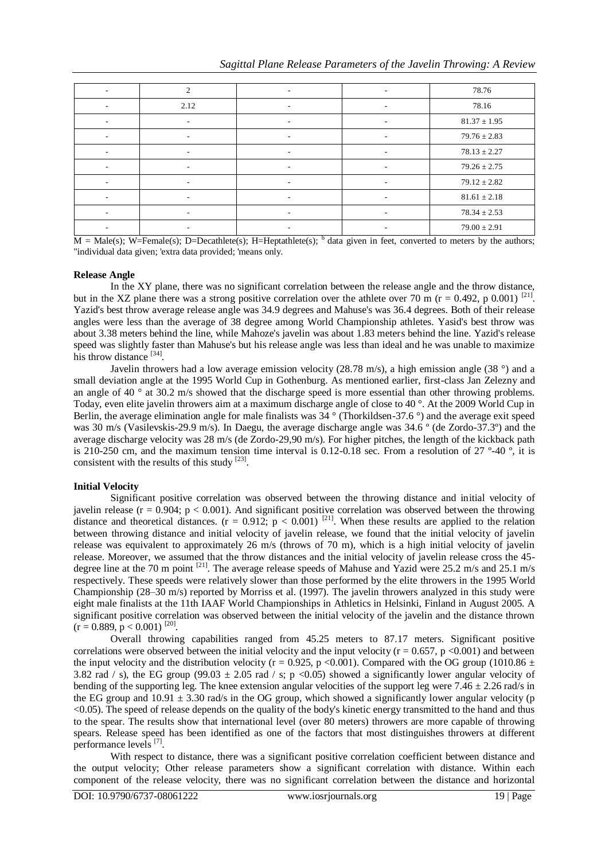| $\sim$                   | $\mathcal{L}$            | $\sim$                   | $\overline{\phantom{a}}$     | 78.76            |
|--------------------------|--------------------------|--------------------------|------------------------------|------------------|
|                          | 2.12                     |                          | ۰                            | 78.16            |
|                          |                          |                          | ۰                            | $81.37 \pm 1.95$ |
|                          | ۰                        | -                        | $\qquad \qquad \blacksquare$ | $79.76 \pm 2.83$ |
| $\overline{\phantom{a}}$ | $\overline{\phantom{a}}$ | ۰.                       | $\overline{\phantom{a}}$     | $78.13 \pm 2.27$ |
|                          |                          | -                        | ۰                            | $79.26 \pm 2.75$ |
|                          | ۰                        | $\overline{\phantom{0}}$ | $\qquad \qquad \blacksquare$ | $79.12 \pm 2.82$ |
| $\overline{\phantom{0}}$ | ۰                        |                          | ۰                            | $81.61 \pm 2.18$ |
|                          |                          |                          | ۰                            | $78.34 \pm 2.53$ |
|                          | ۰                        |                          | ۰                            | $79.00 \pm 2.91$ |

 $M = Male(s)$ ; W=Female(s); D=Decathlete(s); H=Heptathlete(s);  $<sup>b</sup>$  data given in feet, converted to meters by the authors;</sup> "individual data given; 'extra data provided; 'means only.

#### **Release Angle**

In the XY plane, there was no significant correlation between the release angle and the throw distance, but in the XZ plane there was a strong positive correlation over the athlete over 70 m ( $r = 0.492$ , p 0.001) <sup>[21]</sup>. Yazid's best throw average release angle was 34.9 degrees and Mahuse's was 36.4 degrees. Both of their release angles were less than the average of 38 degree among World Championship athletes. Yasid's best throw was about 3.38 meters behind the line, while Mahoze's javelin was about 1.83 meters behind the line. Yazid's release speed was slightly faster than Mahuse's but his release angle was less than ideal and he was unable to maximize his throw distance [34].

Javelin throwers had a low average emission velocity (28.78 m/s), a high emission angle (38  $\degree$ ) and a small deviation angle at the 1995 World Cup in Gothenburg. As mentioned earlier, first-class Jan Zelezny and an angle of 40  $\degree$  at 30.2 m/s showed that the discharge speed is more essential than other throwing problems. Today, even elite javelin throwers aim at a maximum discharge angle of close to 40 °. At the 2009 World Cup in Berlin, the average elimination angle for male finalists was 34 ° (Thorkildsen-37.6 °) and the average exit speed was 30 m/s (Vasilevskis-29.9 m/s). In Daegu, the average discharge angle was 34.6 ° (de Zordo-37.3°) and the average discharge velocity was 28 m/s (de Zordo-29,90 m/s). For higher pitches, the length of the kickback path is 210-250 cm, and the maximum tension time interval is 0.12-0.18 sec. From a resolution of 27 º-40 º, it is consistent with the results of this study  $^{[23]}$ .

#### **Initial Velocity**

Significant positive correlation was observed between the throwing distance and initial velocity of javelin release ( $r = 0.904$ ;  $p < 0.001$ ). And significant positive correlation was observed between the throwing distance and theoretical distances.  $(r = 0.912; p < 0.001)$  [21]. When these results are applied to the relation between throwing distance and initial velocity of javelin release, we found that the initial velocity of javelin release was equivalent to approximately 26 m/s (throws of 70 m), which is a high initial velocity of javelin release. Moreover, we assumed that the throw distances and the initial velocity of javelin release cross the 45 degree line at the 70 m point <sup>[21]</sup>. The average release speeds of Mahuse and Yazid were 25.2 m/s and 25.1 m/s respectively. These speeds were relatively slower than those performed by the elite throwers in the 1995 World Championship (28–30 m/s) reported by Morriss et al. (1997). The javelin throwers analyzed in this study were eight male finalists at the 11th IAAF World Championships in Athletics in Helsinki, Finland in August 2005. A significant positive correlation was observed between the initial velocity of the javelin and the distance thrown  $(r = 0.889, p < 0.001)$ <sup>[20]</sup>.

Overall throwing capabilities ranged from 45.25 meters to 87.17 meters. Significant positive correlations were observed between the initial velocity and the input velocity ( $r = 0.657$ ,  $p < 0.001$ ) and between the input velocity and the distribution velocity (r = 0.925, p <0.001). Compared with the OG group (1010.86  $\pm$ 3.82 rad / s), the EG group (99.03  $\pm$  2.05 rad / s; p <0.05) showed a significantly lower angular velocity of bending of the supporting leg. The knee extension angular velocities of the support leg were  $7.46 \pm 2.26$  rad/s in the EG group and  $10.91 \pm 3.30$  rad/s in the OG group, which showed a significantly lower angular velocity (p <0.05). The speed of release depends on the quality of the body's kinetic energy transmitted to the hand and thus to the spear. The results show that international level (over 80 meters) throwers are more capable of throwing spears. Release speed has been identified as one of the factors that most distinguishes throwers at different performance levels [7].

With respect to distance, there was a significant positive correlation coefficient between distance and the output velocity; Other release parameters show a significant correlation with distance. Within each component of the release velocity, there was no significant correlation between the distance and horizontal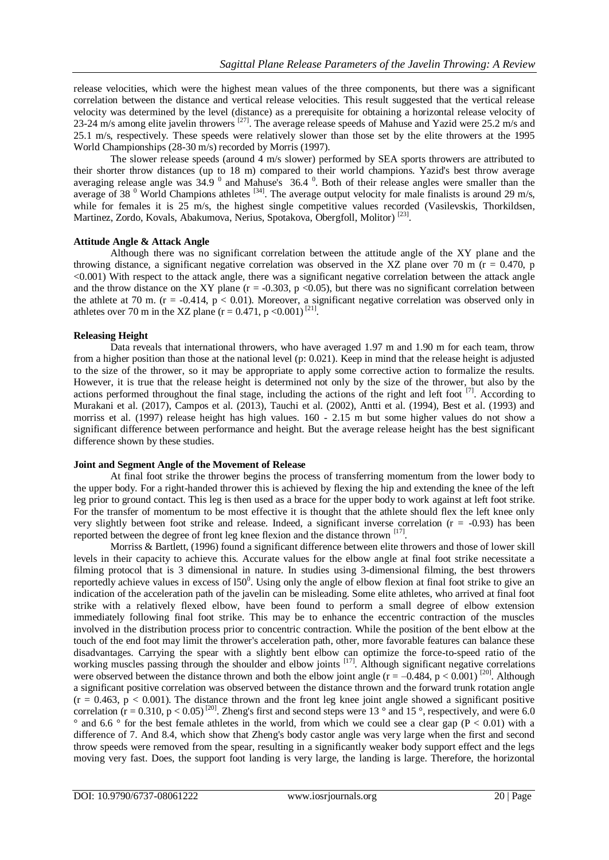release velocities, which were the highest mean values of the three components, but there was a significant correlation between the distance and vertical release velocities. This result suggested that the vertical release velocity was determined by the level (distance) as a prerequisite for obtaining a horizontal release velocity of 23-24 m/s among elite javelin throwers <sup>[27]</sup>. The average release speeds of Mahuse and Yazid were 25.2 m/s and 25.1 m/s, respectively. These speeds were relatively slower than those set by the elite throwers at the 1995 World Championships (28-30 m/s) recorded by Morris (1997).

The slower release speeds (around 4 m/s slower) performed by SEA sports throwers are attributed to their shorter throw distances (up to 18 m) compared to their world champions. Yazid's best throw average averaging release angle was  $34.9<sup>0</sup>$  and Mahuse's  $36.4<sup>0</sup>$ . Both of their release angles were smaller than the average of 38<sup> $0$ </sup> World Champions athletes <sup>[34]</sup>. The average output velocity for male finalists is around 29 m/s, while for females it is 25 m/s, the highest single competitive values recorded (Vasilevskis, Thorkildsen, Martinez, Zordo, Kovals, Abakumova, Nerius, Spotakova, Obergfoll, Molitor)<sup>[23]</sup>.

# **Attitude Angle & Attack Angle**

Although there was no significant correlation between the attitude angle of the XY plane and the throwing distance, a significant negative correlation was observed in the XZ plane over 70 m ( $r = 0.470$ , p <0.001) With respect to the attack angle, there was a significant negative correlation between the attack angle and the throw distance on the XY plane ( $r = -0.303$ ,  $p < 0.05$ ), but there was no significant correlation between the athlete at 70 m. ( $r = -0.414$ ,  $p < 0.01$ ). Moreover, a significant negative correlation was observed only in athletes over 70 m in the XZ plane  $(r = 0.471, p < 0.001)^{[21]}$ .

# **Releasing Height**

Data reveals that international throwers, who have averaged 1.97 m and 1.90 m for each team, throw from a higher position than those at the national level (p: 0.021). Keep in mind that the release height is adjusted to the size of the thrower, so it may be appropriate to apply some corrective action to formalize the results. However, it is true that the release height is determined not only by the size of the thrower, but also by the actions performed throughout the final stage, including the actions of the right and left foot  $[7]$ . According to Murakani et al. (2017), Campos et al. (2013), Tauchi et al. (2002), Antti et al. (1994), Best et al. (1993) and morriss et al. (1997) release height has high values. 160 - 2.15 m but some higher values do not show a significant difference between performance and height. But the average release height has the best significant difference shown by these studies.

### **Joint and Segment Angle of the Movement of Release**

At final foot strike the thrower begins the process of transferring momentum from the lower body to the upper body. For a right-handed thrower this is achieved by flexing the hip and extending the knee of the left leg prior to ground contact. This leg is then used as a brace for the upper body to work against at left foot strike. For the transfer of momentum to be most effective it is thought that the athlete should flex the left knee only very slightly between foot strike and release. Indeed, a significant inverse correlation  $(r = -0.93)$  has been reported between the degree of front leg knee flexion and the distance thrown [17].

Morriss & Bartlett, (1996) found a significant difference between elite throwers and those of lower skill levels in their capacity to achieve this. Accurate values for the elbow angle at final foot strike necessitate a filming protocol that is 3 dimensional in nature. In studies using 3-dimensional filming, the best throwers reportedly achieve values in excess of  $150^\circ$ . Using only the angle of elbow flexion at final foot strike to give an indication of the acceleration path of the javelin can be misleading. Some elite athletes, who arrived at final foot strike with a relatively flexed elbow, have been found to perform a small degree of elbow extension immediately following final foot strike. This may be to enhance the eccentric contraction of the muscles involved in the distribution process prior to concentric contraction. While the position of the bent elbow at the touch of the end foot may limit the thrower's acceleration path, other, more favorable features can balance these disadvantages. Carrying the spear with a slightly bent elbow can optimize the force-to-speed ratio of the working muscles passing through the shoulder and elbow joints <sup>[17]</sup>. Although significant negative correlations were observed between the distance thrown and both the elbow joint angle  $(r = -0.484, p < 0.001)$ <sup>[20]</sup>. Although a significant positive correlation was observed between the distance thrown and the forward trunk rotation angle  $(r = 0.463, p < 0.001)$ . The distance thrown and the front leg knee joint angle showed a significant positive correlation  $(r = 0.310, p < 0.05)$ <sup>[20]</sup>. Zheng's first and second steps were 13 ° and 15 °, respectively, and were 6.0  $\degree$  and 6.6  $\degree$  for the best female athletes in the world, from which we could see a clear gap (P < 0.01) with a difference of 7. And 8.4, which show that Zheng's body castor angle was very large when the first and second throw speeds were removed from the spear, resulting in a significantly weaker body support effect and the legs moving very fast. Does, the support foot landing is very large, the landing is large. Therefore, the horizontal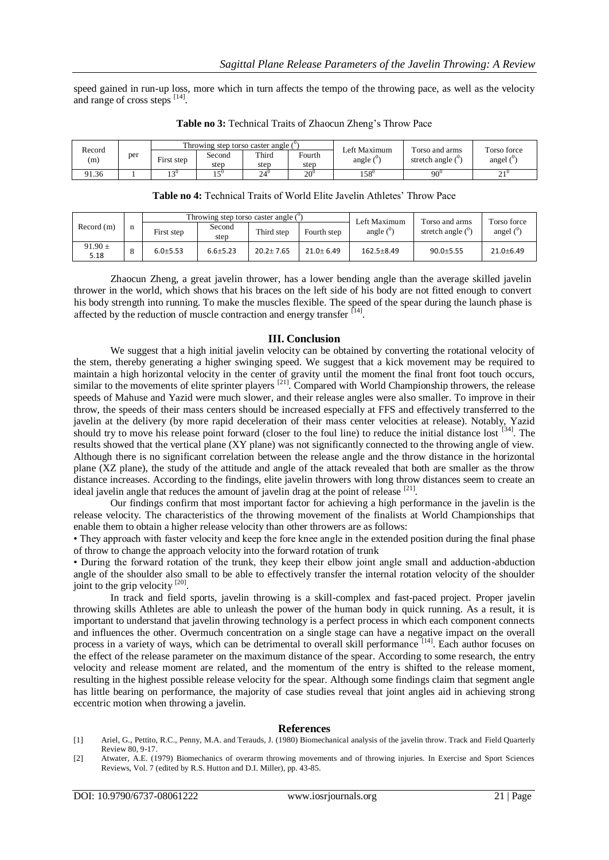speed gained in run-up loss, more which in turn affects the tempo of the throwing pace, as well as the velocity and range of cross steps [14].

| Record<br>(m) |     |            | Throwing step torso caster angle $($ <sup>v</sup> $)$ |              |        | Left Maximum           | Torso and arms      | Torso force |
|---------------|-----|------------|-------------------------------------------------------|--------------|--------|------------------------|---------------------|-------------|
|               | per | First step | Second                                                | Third        | Fourth | angle $($ <sup>0</sup> | stretch angle $(0)$ | angel (     |
|               |     |            | step                                                  | step         | step   |                        |                     |             |
| 91.36         |     | 1.21       | $\epsilon$ <sup>0</sup>                               | $24^{\circ}$ | $20^0$ | $158^{0}$              | $90^0$              | n 1 U       |

**Table no 3:** Technical Traits of Zhaocun Zheng's Throw Pace

| <b>Table no 4:</b> Technical Traits of World Elite Javelin Athletes' Throw Pace |  |  |  |
|---------------------------------------------------------------------------------|--|--|--|
|---------------------------------------------------------------------------------|--|--|--|

|                     |   |              |                | Throwing step torso caster angle $($ <sup>o</sup> |               | Left Maximum   | Torso and arms               | Torso force            |
|---------------------|---|--------------|----------------|---------------------------------------------------|---------------|----------------|------------------------------|------------------------|
| Record(m)           | n | First step   | Second<br>step | Third step                                        | Fourth step   | angle $(^{0}$  | stretch angle $\binom{0}{1}$ | angel $($ <sup>o</sup> |
| $91.90 \pm$<br>5.18 |   | $6.0 + 5.53$ | $6.6 + 5.23$   | $20.2 \pm 7.65$                                   | $21.0 + 6.49$ | $162.5 + 8.49$ | $90.0 + 5.55$                | $21.0 + 6.49$          |

Zhaocun Zheng, a great javelin thrower, has a lower bending angle than the average skilled javelin thrower in the world, which shows that his braces on the left side of his body are not fitted enough to convert his body strength into running. To make the muscles flexible. The speed of the spear during the launch phase is affected by the reduction of muscle contraction and energy transfer [14].

#### **III. Conclusion**

We suggest that a high initial javelin velocity can be obtained by converting the rotational velocity of the stem, thereby generating a higher swinging speed. We suggest that a kick movement may be required to maintain a high horizontal velocity in the center of gravity until the moment the final front foot touch occurs, similar to the movements of elite sprinter players  $[21]$ . Compared with World Championship throwers, the release speeds of Mahuse and Yazid were much slower, and their release angles were also smaller. To improve in their throw, the speeds of their mass centers should be increased especially at FFS and effectively transferred to the javelin at the delivery (by more rapid deceleration of their mass center velocities at release). Notably, Yazid should try to move his release point forward (closer to the foul line) to reduce the initial distance lost  $^{[34]}$ . The results showed that the vertical plane (XY plane) was not significantly connected to the throwing angle of view. Although there is no significant correlation between the release angle and the throw distance in the horizontal plane (XZ plane), the study of the attitude and angle of the attack revealed that both are smaller as the throw distance increases. According to the findings, elite javelin throwers with long throw distances seem to create an ideal javelin angle that reduces the amount of javelin drag at the point of release [21].

Our findings confirm that most important factor for achieving a high performance in the javelin is the release velocity. The characteristics of the throwing movement of the finalists at World Championships that enable them to obtain a higher release velocity than other throwers are as follows:

• They approach with faster velocity and keep the fore knee angle in the extended position during the final phase of throw to change the approach velocity into the forward rotation of trunk

• During the forward rotation of the trunk, they keep their elbow joint angle small and adduction-abduction angle of the shoulder also small to be able to effectively transfer the internal rotation velocity of the shoulder joint to the grip velocity  $^{[20]}$ .

In track and field sports, javelin throwing is a skill-complex and fast-paced project. Proper javelin throwing skills Athletes are able to unleash the power of the human body in quick running. As a result, it is important to understand that javelin throwing technology is a perfect process in which each component connects and influences the other. Overmuch concentration on a single stage can have a negative impact on the overall process in a variety of ways, which can be detrimental to overall skill performance [14]. Each author focuses on the effect of the release parameter on the maximum distance of the spear. According to some research, the entry velocity and release moment are related, and the momentum of the entry is shifted to the release moment, resulting in the highest possible release velocity for the spear. Although some findings claim that segment angle has little bearing on performance, the majority of case studies reveal that joint angles aid in achieving strong eccentric motion when throwing a javelin.

#### **References**

- [1] Ariel, G., Pettito, R.C., Penny, M.A. and Terauds, J. (1980) Biomechanical analysis of the javelin throw. Track and Field Quarterly Review 80, 9-17.
- [2] Atwater, A.E. (1979) Biomechanics of overarm throwing movements and of throwing injuries. In Exercise and Sport Sciences Reviews, Vol. 7 (edited by R.S. Hutton and D.I. Miller), pp. 43-85.